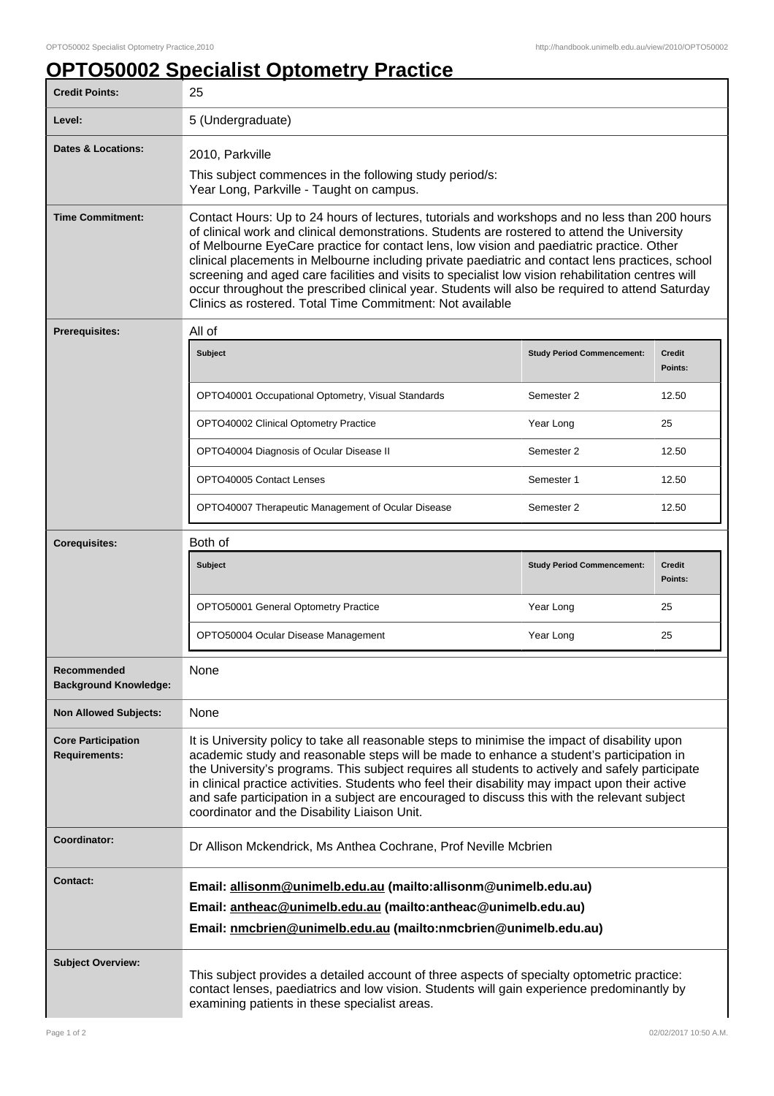## **OPTO50002 Specialist Optometry Practice**

| <b>Credit Points:</b>                             | 25                                                                                                                                                                                                                                                                                                                                                                                                                                                                                                                                                                                                                                                                    |                                   |                          |
|---------------------------------------------------|-----------------------------------------------------------------------------------------------------------------------------------------------------------------------------------------------------------------------------------------------------------------------------------------------------------------------------------------------------------------------------------------------------------------------------------------------------------------------------------------------------------------------------------------------------------------------------------------------------------------------------------------------------------------------|-----------------------------------|--------------------------|
| Level:                                            | 5 (Undergraduate)                                                                                                                                                                                                                                                                                                                                                                                                                                                                                                                                                                                                                                                     |                                   |                          |
| Dates & Locations:                                | 2010, Parkville<br>This subject commences in the following study period/s:<br>Year Long, Parkville - Taught on campus.                                                                                                                                                                                                                                                                                                                                                                                                                                                                                                                                                |                                   |                          |
| <b>Time Commitment:</b>                           | Contact Hours: Up to 24 hours of lectures, tutorials and workshops and no less than 200 hours<br>of clinical work and clinical demonstrations. Students are rostered to attend the University<br>of Melbourne EyeCare practice for contact lens, low vision and paediatric practice. Other<br>clinical placements in Melbourne including private paediatric and contact lens practices, school<br>screening and aged care facilities and visits to specialist low vision rehabilitation centres will<br>occur throughout the prescribed clinical year. Students will also be required to attend Saturday<br>Clinics as rostered. Total Time Commitment: Not available |                                   |                          |
| Prerequisites:                                    | All of                                                                                                                                                                                                                                                                                                                                                                                                                                                                                                                                                                                                                                                                |                                   |                          |
|                                                   | Subject                                                                                                                                                                                                                                                                                                                                                                                                                                                                                                                                                                                                                                                               | <b>Study Period Commencement:</b> | <b>Credit</b><br>Points: |
|                                                   | OPTO40001 Occupational Optometry, Visual Standards                                                                                                                                                                                                                                                                                                                                                                                                                                                                                                                                                                                                                    | Semester 2                        | 12.50                    |
|                                                   | OPTO40002 Clinical Optometry Practice                                                                                                                                                                                                                                                                                                                                                                                                                                                                                                                                                                                                                                 | Year Long                         | 25                       |
|                                                   | OPTO40004 Diagnosis of Ocular Disease II                                                                                                                                                                                                                                                                                                                                                                                                                                                                                                                                                                                                                              | Semester 2                        | 12.50                    |
|                                                   | OPTO40005 Contact Lenses                                                                                                                                                                                                                                                                                                                                                                                                                                                                                                                                                                                                                                              | Semester 1                        | 12.50                    |
|                                                   | OPTO40007 Therapeutic Management of Ocular Disease                                                                                                                                                                                                                                                                                                                                                                                                                                                                                                                                                                                                                    | Semester 2                        | 12.50                    |
| <b>Corequisites:</b>                              | Both of                                                                                                                                                                                                                                                                                                                                                                                                                                                                                                                                                                                                                                                               |                                   |                          |
|                                                   | Subject                                                                                                                                                                                                                                                                                                                                                                                                                                                                                                                                                                                                                                                               | <b>Study Period Commencement:</b> | <b>Credit</b><br>Points: |
|                                                   | OPTO50001 General Optometry Practice                                                                                                                                                                                                                                                                                                                                                                                                                                                                                                                                                                                                                                  | Year Long                         | 25                       |
|                                                   | OPTO50004 Ocular Disease Management                                                                                                                                                                                                                                                                                                                                                                                                                                                                                                                                                                                                                                   | Year Long                         | 25                       |
| Recommended<br><b>Background Knowledge:</b>       | None                                                                                                                                                                                                                                                                                                                                                                                                                                                                                                                                                                                                                                                                  |                                   |                          |
| <b>Non Allowed Subjects:</b>                      | None                                                                                                                                                                                                                                                                                                                                                                                                                                                                                                                                                                                                                                                                  |                                   |                          |
| <b>Core Participation</b><br><b>Requirements:</b> | It is University policy to take all reasonable steps to minimise the impact of disability upon<br>academic study and reasonable steps will be made to enhance a student's participation in<br>the University's programs. This subject requires all students to actively and safely participate<br>in clinical practice activities. Students who feel their disability may impact upon their active<br>and safe participation in a subject are encouraged to discuss this with the relevant subject<br>coordinator and the Disability Liaison Unit.                                                                                                                    |                                   |                          |
| Coordinator:                                      | Dr Allison Mckendrick, Ms Anthea Cochrane, Prof Neville Mcbrien                                                                                                                                                                                                                                                                                                                                                                                                                                                                                                                                                                                                       |                                   |                          |
| <b>Contact:</b>                                   | Email: allisonm@unimelb.edu.au (mailto:allisonm@unimelb.edu.au)<br>Email: antheac@unimelb.edu.au (mailto:antheac@unimelb.edu.au)<br>Email: nmcbrien@unimelb.edu.au (mailto:nmcbrien@unimelb.edu.au)                                                                                                                                                                                                                                                                                                                                                                                                                                                                   |                                   |                          |
| <b>Subject Overview:</b>                          | This subject provides a detailed account of three aspects of specialty optometric practice:<br>contact lenses, paediatrics and low vision. Students will gain experience predominantly by<br>examining patients in these specialist areas.                                                                                                                                                                                                                                                                                                                                                                                                                            |                                   |                          |